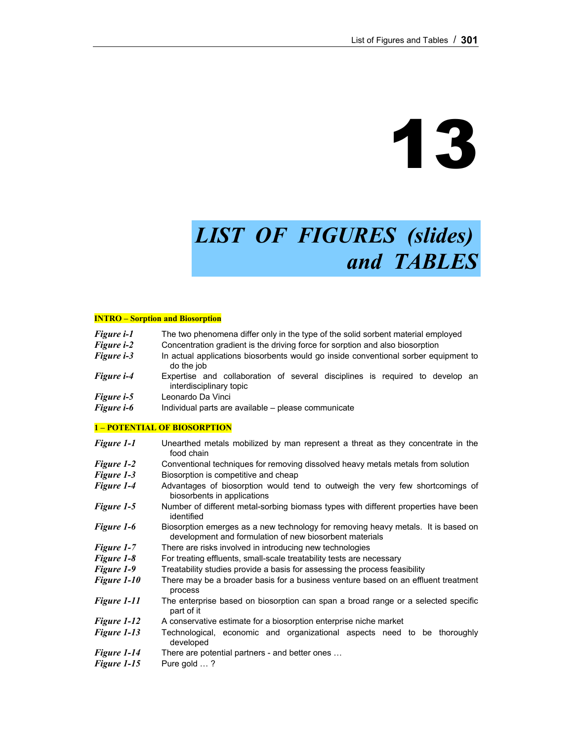# 13

# *LIST OF FIGURES (slides) and TABLES*

#### **INTRO – Sorption and Biosorption**

| Figure <i>i-1</i>  | The two phenomena differ only in the type of the solid sorbent material employed                        |  |  |  |  |  |
|--------------------|---------------------------------------------------------------------------------------------------------|--|--|--|--|--|
| <b>Figure i-2</b>  | Concentration gradient is the driving force for sorption and also biosorption                           |  |  |  |  |  |
| <b>Figure i-3</b>  | In actual applications biosorbents would go inside conventional sorber equipment to<br>do the job       |  |  |  |  |  |
| Figure <i>i-4</i>  | Expertise and collaboration of several disciplines is required to develop an<br>interdisciplinary topic |  |  |  |  |  |
| Figure <i>i</i> -5 | Leonardo Da Vinci                                                                                       |  |  |  |  |  |
| Figure <i>i</i> -6 | Individual parts are available - please communicate                                                     |  |  |  |  |  |

#### **1 – POTENTIAL OF BIOSORPTION**

| <b>Figure 1-1</b>  | Unearthed metals mobilized by man represent a threat as they concentrate in the<br>food chain                                                |  |  |  |  |  |
|--------------------|----------------------------------------------------------------------------------------------------------------------------------------------|--|--|--|--|--|
| <b>Figure 1-2</b>  | Conventional techniques for removing dissolved heavy metals metals from solution                                                             |  |  |  |  |  |
| <b>Figure 1-3</b>  | Biosorption is competitive and cheap                                                                                                         |  |  |  |  |  |
| Figure 1-4         | Advantages of biosorption would tend to outweigh the very few shortcomings of<br>biosorbents in applications                                 |  |  |  |  |  |
| Figure 1-5         | Number of different metal-sorbing biomass types with different properties have been<br>identified                                            |  |  |  |  |  |
| <b>Figure 1-6</b>  | Biosorption emerges as a new technology for removing heavy metals. It is based on<br>development and formulation of new biosorbent materials |  |  |  |  |  |
| <b>Figure 1-7</b>  | There are risks involved in introducing new technologies                                                                                     |  |  |  |  |  |
| <b>Figure 1-8</b>  | For treating effluents, small-scale treatability tests are necessary                                                                         |  |  |  |  |  |
| <b>Figure 1-9</b>  | Treatability studies provide a basis for assessing the process feasibility                                                                   |  |  |  |  |  |
| <b>Figure 1-10</b> | There may be a broader basis for a business venture based on an effluent treatment<br>process                                                |  |  |  |  |  |
| Figure 1-11        | The enterprise based on biosorption can span a broad range or a selected specific<br>part of it                                              |  |  |  |  |  |
| Figure 1-12        | A conservative estimate for a biosorption enterprise niche market                                                                            |  |  |  |  |  |
| <b>Figure 1-13</b> | Technological, economic and organizational aspects need to be thoroughly<br>developed                                                        |  |  |  |  |  |
| Figure 1-14        | There are potential partners - and better ones                                                                                               |  |  |  |  |  |
| Figure 1-15        | Pure gold ?                                                                                                                                  |  |  |  |  |  |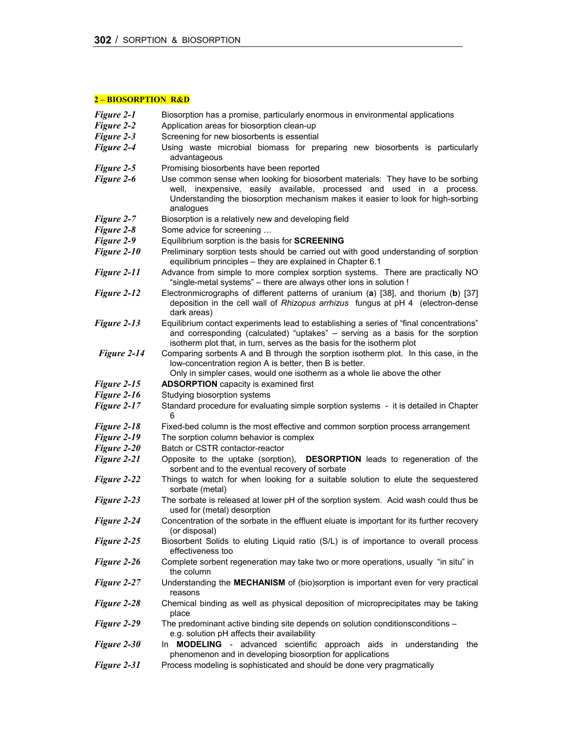# **2 – BIOSORPTION R&D**

| <b>Figure 2-1</b>  | Biosorption has a promise, particularly enormous in environmental applications                                                                                                                                                                            |  |  |  |  |
|--------------------|-----------------------------------------------------------------------------------------------------------------------------------------------------------------------------------------------------------------------------------------------------------|--|--|--|--|
| Figure 2-2         | Application areas for biosorption clean-up                                                                                                                                                                                                                |  |  |  |  |
| Figure 2-3         | Screening for new biosorbents is essential                                                                                                                                                                                                                |  |  |  |  |
| Figure 2-4         | Using waste microbial biomass for preparing new biosorbents is particularly<br>advantageous                                                                                                                                                               |  |  |  |  |
| Figure 2-5         | Promising biosorbents have been reported                                                                                                                                                                                                                  |  |  |  |  |
| Figure 2-6         | Use common sense when looking for biosorbent materials: They have to be sorbing<br>well, inexpensive, easily available, processed and used in a process.<br>Understanding the biosorption mechanism makes it easier to look for high-sorbing<br>analogues |  |  |  |  |
| <b>Figure 2-7</b>  | Biosorption is a relatively new and developing field                                                                                                                                                                                                      |  |  |  |  |
| Figure 2-8         | Some advice for screening                                                                                                                                                                                                                                 |  |  |  |  |
| Figure 2-9         | Equilibrium sorption is the basis for <b>SCREENING</b>                                                                                                                                                                                                    |  |  |  |  |
| Figure 2-10        | Preliminary sorption tests should be carried out with good understanding of sorption<br>equilibrium principles - they are explained in Chapter 6.1                                                                                                        |  |  |  |  |
| Figure 2-11        | Advance from simple to more complex sorption systems. There are practically NO<br>"single-metal systems" - there are always other ions in solution !                                                                                                      |  |  |  |  |
| Figure 2-12        | Electronmicrographs of different patterns of uranium (a) [38], and thorium (b) [37]<br>deposition in the cell wall of Rhizopus arrhizus fungus at pH 4 (electron-dense<br>dark areas)                                                                     |  |  |  |  |
| Figure 2-13        | Equilibrium contact experiments lead to establishing a series of "final concentrations"<br>and corresponding (calculated) "uptakes" - serving as a basis for the sorption<br>isotherm plot that, in turn, serves as the basis for the isotherm plot       |  |  |  |  |
| Figure 2-14        | Comparing sorbents A and B through the sorption isotherm plot. In this case, in the<br>low-concentration region A is better, then B is better.<br>Only in simpler cases, would one isotherm as a whole lie above the other                                |  |  |  |  |
| Figure 2-15        | <b>ADSORPTION</b> capacity is examined first                                                                                                                                                                                                              |  |  |  |  |
| Figure 2-16        | Studying biosorption systems                                                                                                                                                                                                                              |  |  |  |  |
| Figure 2-17        | Standard procedure for evaluating simple sorption systems - it is detailed in Chapter<br>6                                                                                                                                                                |  |  |  |  |
| Figure 2-18        | Fixed-bed column is the most effective and common sorption process arrangement                                                                                                                                                                            |  |  |  |  |
| Figure 2-19        | The sorption column behavior is complex                                                                                                                                                                                                                   |  |  |  |  |
| Figure 2-20        | Batch or CSTR contactor-reactor                                                                                                                                                                                                                           |  |  |  |  |
| Figure 2-21        | Opposite to the uptake (sorption),<br><b>DESORPTION</b> leads to regeneration of the<br>sorbent and to the eventual recovery of sorbate                                                                                                                   |  |  |  |  |
| Figure 2-22        | Things to watch for when looking for a suitable solution to elute the sequestered<br>sorbate (metal)                                                                                                                                                      |  |  |  |  |
| Figure 2-23        | The sorbate is released at lower pH of the sorption system. Acid wash could thus be<br>used for (metal) desorption                                                                                                                                        |  |  |  |  |
| <b>Figure 2-24</b> | Concentration of the sorbate in the effluent eluate is important for its further recovery<br>(or disposal)                                                                                                                                                |  |  |  |  |
| Figure 2-25        | Biosorbent Solids to eluting Liquid ratio (S/L) is of importance to overall process<br>effectiveness too                                                                                                                                                  |  |  |  |  |
| Figure 2-26        | Complete sorbent regeneration may take two or more operations, usually "in situ" in<br>the column                                                                                                                                                         |  |  |  |  |
| Figure 2-27        | Understanding the MECHANISM of (bio)sorption is important even for very practical<br>reasons                                                                                                                                                              |  |  |  |  |
| Figure 2-28        | Chemical binding as well as physical deposition of microprecipitates may be taking<br>place                                                                                                                                                               |  |  |  |  |
| Figure 2-29        | The predominant active binding site depends on solution conditionsconditions -<br>e.g. solution pH affects their availability                                                                                                                             |  |  |  |  |
| Figure 2-30        | In <b>MODELING</b> - advanced scientific approach aids in understanding<br>the<br>phenomenon and in developing biosorption for applications                                                                                                               |  |  |  |  |
| Figure 2-31        | Process modeling is sophisticated and should be done very pragmatically                                                                                                                                                                                   |  |  |  |  |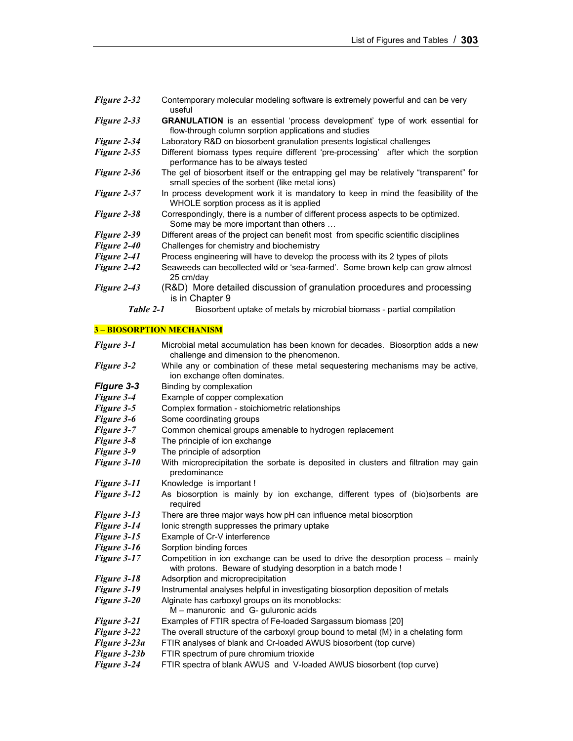| Figure 2-32 | Contemporary molecular modeling software is extremely powerful and can be very<br>useful                                                     |  |  |  |  |
|-------------|----------------------------------------------------------------------------------------------------------------------------------------------|--|--|--|--|
| Figure 2-33 | <b>GRANULATION</b> is an essential 'process development' type of work essential for<br>flow-through column sorption applications and studies |  |  |  |  |
| Figure 2-34 | Laboratory R&D on biosorbent granulation presents logistical challenges                                                                      |  |  |  |  |
| Figure 2-35 | Different biomass types require different 'pre-processing' after which the sorption<br>performance has to be always tested                   |  |  |  |  |
| Figure 2-36 | The gel of biosorbent itself or the entrapping gel may be relatively "transparent" for<br>small species of the sorbent (like metal ions)     |  |  |  |  |
| Figure 2-37 | In process development work it is mandatory to keep in mind the feasibility of the<br>WHOLE sorption process as it is applied                |  |  |  |  |
| Figure 2-38 | Correspondingly, there is a number of different process aspects to be optimized.<br>Some may be more important than others                   |  |  |  |  |
| Figure 2-39 | Different areas of the project can benefit most from specific scientific disciplines                                                         |  |  |  |  |
| Figure 2-40 | Challenges for chemistry and biochemistry                                                                                                    |  |  |  |  |
| Figure 2-41 | Process engineering will have to develop the process with its 2 types of pilots                                                              |  |  |  |  |
| Figure 2-42 | Seaweeds can becollected wild or 'sea-farmed'. Some brown kelp can grow almost<br>25 cm/day                                                  |  |  |  |  |
| Figure 2-43 | (R&D) More detailed discussion of granulation procedures and processing<br>is in Chapter 9                                                   |  |  |  |  |
| Table 2-1   | Biosorbent uptake of metals by microbial biomass - partial compilation                                                                       |  |  |  |  |

# **3 – BIOSORPTION MECHANISM**

| Figure 3-1        | Microbial metal accumulation has been known for decades. Biosorption adds a new<br>challenge and dimension to the phenomenon.                     |  |  |  |  |
|-------------------|---------------------------------------------------------------------------------------------------------------------------------------------------|--|--|--|--|
| <b>Figure 3-2</b> | While any or combination of these metal sequestering mechanisms may be active,<br>ion exchange often dominates.                                   |  |  |  |  |
| Figure 3-3        | Binding by complexation                                                                                                                           |  |  |  |  |
| <b>Figure 3-4</b> | Example of copper complexation                                                                                                                    |  |  |  |  |
| Figure 3-5        | Complex formation - stoichiometric relationships                                                                                                  |  |  |  |  |
| Figure 3-6        | Some coordinating groups                                                                                                                          |  |  |  |  |
| Figure 3-7        | Common chemical groups amenable to hydrogen replacement                                                                                           |  |  |  |  |
| Figure 3-8        | The principle of ion exchange                                                                                                                     |  |  |  |  |
| Figure 3-9        | The principle of adsorption                                                                                                                       |  |  |  |  |
| Figure 3-10       | With microprecipitation the sorbate is deposited in clusters and filtration may gain<br>predominance                                              |  |  |  |  |
| Figure 3-11       | Knowledge is important!                                                                                                                           |  |  |  |  |
| Figure 3-12       | As biosorption is mainly by ion exchange, different types of (bio)sorbents are<br>required                                                        |  |  |  |  |
| Figure 3-13       | There are three major ways how pH can influence metal biosorption                                                                                 |  |  |  |  |
| Figure 3-14       | lonic strength suppresses the primary uptake                                                                                                      |  |  |  |  |
| Figure 3-15       | Example of Cr-V interference                                                                                                                      |  |  |  |  |
| Figure 3-16       | Sorption binding forces                                                                                                                           |  |  |  |  |
| Figure 3-17       | Competition in ion exchange can be used to drive the desorption process – mainly<br>with protons. Beware of studying desorption in a batch mode ! |  |  |  |  |
| Figure 3-18       | Adsorption and microprecipitation                                                                                                                 |  |  |  |  |
| Figure 3-19       | Instrumental analyses helpful in investigating biosorption deposition of metals                                                                   |  |  |  |  |
| Figure 3-20       | Alginate has carboxyl groups on its monoblocks:<br>M - manuronic and G- guluronic acids                                                           |  |  |  |  |
| Figure 3-21       | Examples of FTIR spectra of Fe-loaded Sargassum biomass [20]                                                                                      |  |  |  |  |
| Figure 3-22       | The overall structure of the carboxyl group bound to metal (M) in a chelating form                                                                |  |  |  |  |
| Figure 3-23a      | FTIR analyses of blank and Cr-loaded AWUS biosorbent (top curve)                                                                                  |  |  |  |  |
| Figure 3-23b      | FTIR spectrum of pure chromium trioxide                                                                                                           |  |  |  |  |
| Figure 3-24       | FTIR spectra of blank AWUS and V-loaded AWUS biosorbent (top curve)                                                                               |  |  |  |  |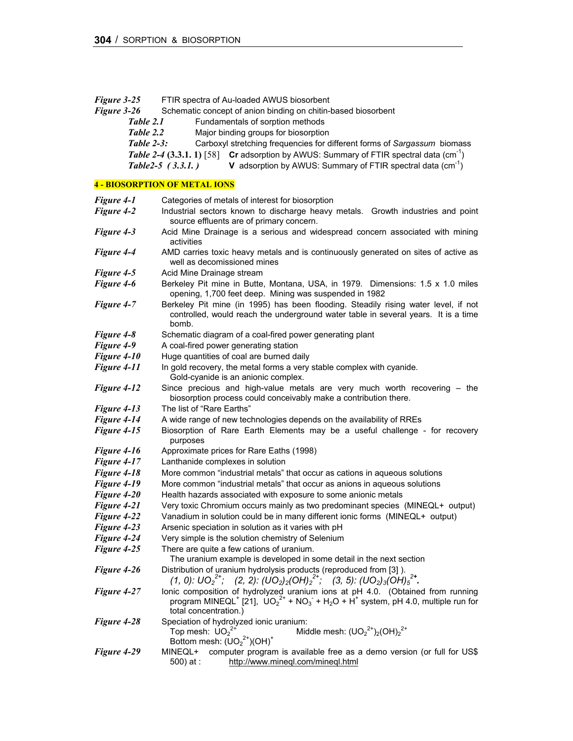| Figure 3-25        | FTIR spectra of Au-loaded AWUS biosorbent                                                                                                                                                                                                       |  |  |  |  |  |
|--------------------|-------------------------------------------------------------------------------------------------------------------------------------------------------------------------------------------------------------------------------------------------|--|--|--|--|--|
| Figure 3-26        | Schematic concept of anion binding on chitin-based biosorbent                                                                                                                                                                                   |  |  |  |  |  |
|                    | Table 2.1<br>Fundamentals of sorption methods                                                                                                                                                                                                   |  |  |  |  |  |
| Table 2.2          | Major binding groups for biosorption                                                                                                                                                                                                            |  |  |  |  |  |
| Table $2-3$ :      | Carboxyl stretching frequencies for different forms of Sargassum biomass                                                                                                                                                                        |  |  |  |  |  |
|                    | <b>Table 2-4 (3.3.1. 1)</b> [58] <b>Cr</b> adsorption by AWUS: Summary of FTIR spectral data (cm <sup>-1</sup> )                                                                                                                                |  |  |  |  |  |
|                    | <b>V</b> adsorption by AWUS: Summary of FTIR spectral data $\text{cm}^{-1}$ )<br>Table $2-5$ (3.3.1.)                                                                                                                                           |  |  |  |  |  |
|                    |                                                                                                                                                                                                                                                 |  |  |  |  |  |
|                    | <b>4 - BIOSORPTION OF METAL IONS</b>                                                                                                                                                                                                            |  |  |  |  |  |
| Figure 4-1         | Categories of metals of interest for biosorption                                                                                                                                                                                                |  |  |  |  |  |
| Figure 4-2         | Industrial sectors known to discharge heavy metals. Growth industries and point<br>source effluents are of primary concern.                                                                                                                     |  |  |  |  |  |
| Figure 4-3         | Acid Mine Drainage is a serious and widespread concern associated with mining<br>activities                                                                                                                                                     |  |  |  |  |  |
| Figure 4-4         | AMD carries toxic heavy metals and is continuously generated on sites of active as<br>well as decomissioned mines                                                                                                                               |  |  |  |  |  |
| Figure 4-5         | Acid Mine Drainage stream                                                                                                                                                                                                                       |  |  |  |  |  |
| Figure 4-6         | Berkeley Pit mine in Butte, Montana, USA, in 1979. Dimensions: 1.5 x 1.0 miles<br>opening, 1,700 feet deep. Mining was suspended in 1982                                                                                                        |  |  |  |  |  |
| Figure 4-7         | Berkeley Pit mine (in 1995) has been flooding. Steadily rising water level, if not<br>controlled, would reach the underground water table in several years. It is a time<br>bomb.                                                               |  |  |  |  |  |
| <b>Figure 4-8</b>  | Schematic diagram of a coal-fired power generating plant                                                                                                                                                                                        |  |  |  |  |  |
| Figure 4-9         | A coal-fired power generating station                                                                                                                                                                                                           |  |  |  |  |  |
| Figure 4-10        | Huge quantities of coal are burned daily                                                                                                                                                                                                        |  |  |  |  |  |
| Figure 4-11        | In gold recovery, the metal forms a very stable complex with cyanide.<br>Gold-cyanide is an anionic complex.                                                                                                                                    |  |  |  |  |  |
| Figure 4-12        | Since precious and high-value metals are very much worth recovering - the<br>biosorption process could conceivably make a contribution there.                                                                                                   |  |  |  |  |  |
| Figure 4-13        | The list of "Rare Earths"                                                                                                                                                                                                                       |  |  |  |  |  |
| Figure 4-14        | A wide range of new technologies depends on the availability of RREs                                                                                                                                                                            |  |  |  |  |  |
| Figure 4-15        | Biosorption of Rare Earth Elements may be a useful challenge - for recovery<br>purposes                                                                                                                                                         |  |  |  |  |  |
| Figure 4-16        | Approximate prices for Rare Eaths (1998)                                                                                                                                                                                                        |  |  |  |  |  |
| Figure 4-17        | Lanthanide complexes in solution                                                                                                                                                                                                                |  |  |  |  |  |
| Figure 4-18        | More common "industrial metals" that occur as cations in aqueous solutions                                                                                                                                                                      |  |  |  |  |  |
| Figure 4-19        | More common "industrial metals" that occur as anions in aqueous solutions                                                                                                                                                                       |  |  |  |  |  |
| Figure 4-20        | Health hazards associated with exposure to some anionic metals                                                                                                                                                                                  |  |  |  |  |  |
| Figure 4-21        | Very toxic Chromium occurs mainly as two predominant species (MINEQL+ output)                                                                                                                                                                   |  |  |  |  |  |
| <b>Figure 4-22</b> | Vanadium in solution could be in many different ionic forms (MINEQL+ output)                                                                                                                                                                    |  |  |  |  |  |
| Figure 4-23        | Arsenic speciation in solution as it varies with pH                                                                                                                                                                                             |  |  |  |  |  |
| Figure 4-24        | Very simple is the solution chemistry of Selenium                                                                                                                                                                                               |  |  |  |  |  |
| Figure 4-25        | There are quite a few cations of uranium.<br>The uranium example is developed in some detail in the next section                                                                                                                                |  |  |  |  |  |
| Figure 4-26        | Distribution of uranium hydrolysis products (reproduced from [3]).<br>(1, 0): $UO_2^{2^*}$ ; (2, 2): $(UO_2)_2(OH)_2^{2^*}$ ; (3, 5): $(UO_2)_3(OH)_5^{2^*}$ .                                                                                  |  |  |  |  |  |
| Figure 4-27        | lonic composition of hydrolyzed uranium ions at pH 4.0. (Obtained from running<br>program MINEQL <sup>+</sup> [21], $UO_2^{2+}$ + NO <sub>3</sub> + H <sub>2</sub> O + H <sup>+</sup> system, pH 4.0, multiple run for<br>total concentration.) |  |  |  |  |  |
| Figure 4-28        | Speciation of hydrolyzed ionic uranium:<br>Middle mesh: $(UD_2^{2+})_2(OH)_2^{2+}$<br>Top mesh: $UO_2^2$<br>Bottom mesh: $(\overline{UO_2}^{2+})(OH)^+$                                                                                         |  |  |  |  |  |
| Figure 4-29        | MINEQL+<br>computer program is available free as a demo version (or full for US\$<br>http://www.minegl.com/minegl.html<br>500) at :                                                                                                             |  |  |  |  |  |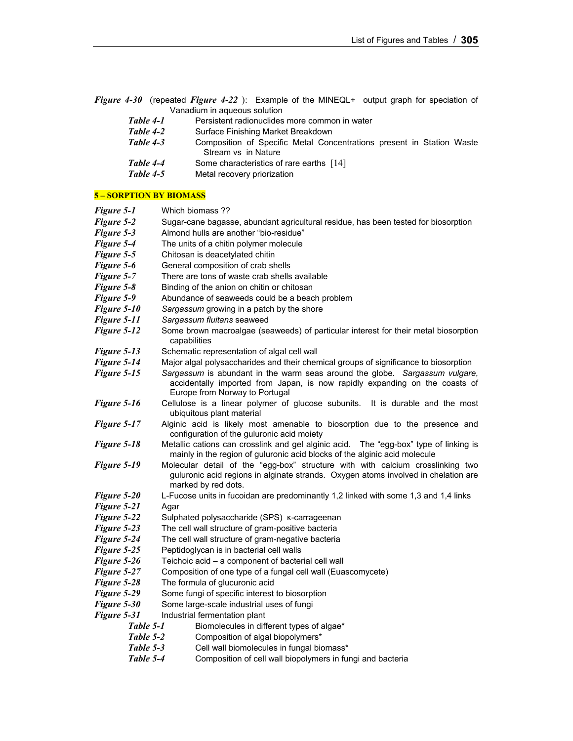*Figure 4-30* (repeated *Figure 4-22* ):Example of the MINEQL+ output graph for speciation of Vanadium in aqueous solution

| Table 4-1 | Persistent radionuclides more common in water                                                |  |  |
|-----------|----------------------------------------------------------------------------------------------|--|--|
| Table 4-2 | Surface Finishing Market Breakdown                                                           |  |  |
| Table 4-3 | Composition of Specific Metal Concentrations present in Station Waste<br>Stream vs in Nature |  |  |
| Table 4-4 | Some characteristics of rare earths [14]                                                     |  |  |
| Table 4-5 | Metal recovery priorization                                                                  |  |  |

#### **5 – SORPTION BY BIOMASS**

| Figure 5-1  | Which biomass ??                                                                                                                                                                             |  |  |  |  |
|-------------|----------------------------------------------------------------------------------------------------------------------------------------------------------------------------------------------|--|--|--|--|
| Figure 5-2  | Sugar-cane bagasse, abundant agricultural residue, has been tested for biosorption                                                                                                           |  |  |  |  |
| Figure 5-3  | Almond hulls are another "bio-residue"                                                                                                                                                       |  |  |  |  |
| Figure 5-4  | The units of a chitin polymer molecule                                                                                                                                                       |  |  |  |  |
| Figure 5-5  | Chitosan is deacetylated chitin                                                                                                                                                              |  |  |  |  |
| Figure 5-6  | General composition of crab shells                                                                                                                                                           |  |  |  |  |
| Figure 5-7  | There are tons of waste crab shells available                                                                                                                                                |  |  |  |  |
| Figure 5-8  | Binding of the anion on chitin or chitosan                                                                                                                                                   |  |  |  |  |
| Figure 5-9  | Abundance of seaweeds could be a beach problem                                                                                                                                               |  |  |  |  |
| Figure 5-10 | Sargassum growing in a patch by the shore                                                                                                                                                    |  |  |  |  |
| Figure 5-11 | Sargassum fluitans seaweed                                                                                                                                                                   |  |  |  |  |
| Figure 5-12 | Some brown macroalgae (seaweeds) of particular interest for their metal biosorption<br>capabilities                                                                                          |  |  |  |  |
| Figure 5-13 | Schematic representation of algal cell wall                                                                                                                                                  |  |  |  |  |
| Figure 5-14 | Major algal polysaccharides and their chemical groups of significance to biosorption                                                                                                         |  |  |  |  |
| Figure 5-15 | Sargassum is abundant in the warm seas around the globe. Sargassum vulgare,<br>accidentally imported from Japan, is now rapidly expanding on the coasts of<br>Europe from Norway to Portugal |  |  |  |  |
| Figure 5-16 | Cellulose is a linear polymer of glucose subunits. It is durable and the most<br>ubiquitous plant material                                                                                   |  |  |  |  |
| Figure 5-17 | Alginic acid is likely most amenable to biosorption due to the presence and<br>configuration of the guluronic acid moiety                                                                    |  |  |  |  |
| Figure 5-18 | Metallic cations can crosslink and gel alginic acid. The "egg-box" type of linking is<br>mainly in the region of guluronic acid blocks of the alginic acid molecule                          |  |  |  |  |
| Figure 5-19 | Molecular detail of the "egg-box" structure with with calcium crosslinking two<br>guluronic acid regions in alginate strands. Oxygen atoms involved in chelation are<br>marked by red dots.  |  |  |  |  |
| Figure 5-20 | L-Fucose units in fucoidan are predominantly 1,2 linked with some 1,3 and 1,4 links                                                                                                          |  |  |  |  |
| Figure 5-21 | Agar                                                                                                                                                                                         |  |  |  |  |
| Figure 5-22 | Sulphated polysaccharide (SPS) K-carrageenan                                                                                                                                                 |  |  |  |  |
| Figure 5-23 | The cell wall structure of gram-positive bacteria                                                                                                                                            |  |  |  |  |
| Figure 5-24 | The cell wall structure of gram-negative bacteria                                                                                                                                            |  |  |  |  |
| Figure 5-25 | Peptidoglycan is in bacterial cell walls                                                                                                                                                     |  |  |  |  |
| Figure 5-26 | Teichoic acid - a component of bacterial cell wall                                                                                                                                           |  |  |  |  |
| Figure 5-27 | Composition of one type of a fungal cell wall (Euascomycete)                                                                                                                                 |  |  |  |  |
| Figure 5-28 | The formula of glucuronic acid                                                                                                                                                               |  |  |  |  |
| Figure 5-29 | Some fungi of specific interest to biosorption                                                                                                                                               |  |  |  |  |
| Figure 5-30 | Some large-scale industrial uses of fungi                                                                                                                                                    |  |  |  |  |
| Figure 5-31 | Industrial fermentation plant                                                                                                                                                                |  |  |  |  |
| Table 5-1   | Biomolecules in different types of algae*                                                                                                                                                    |  |  |  |  |
| Table 5-2   | Composition of algal biopolymers*                                                                                                                                                            |  |  |  |  |
| Table 5-3   | Cell wall biomolecules in fungal biomass*                                                                                                                                                    |  |  |  |  |
| Table 5-4   | Composition of cell wall biopolymers in fungi and bacteria                                                                                                                                   |  |  |  |  |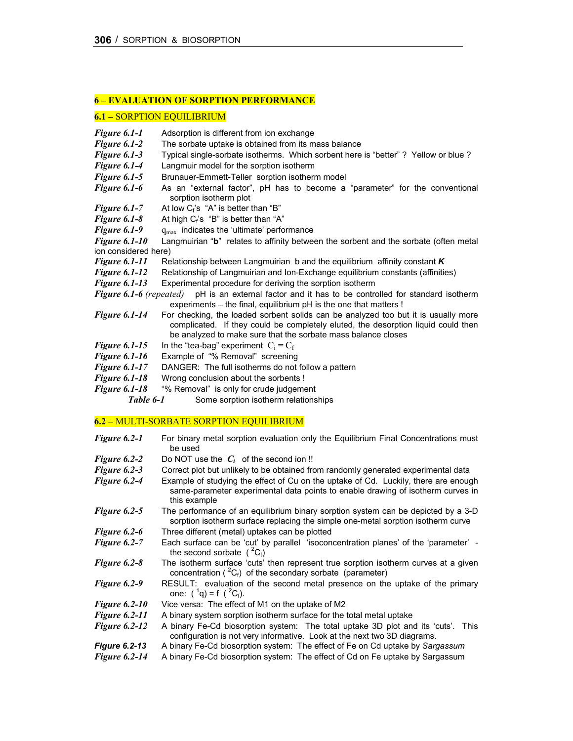#### **6 – EVALUATION OF SORPTION PERFORMANCE**

#### **6.1 –** SORPTION EQUILIBRIUM

| Figure 6.1-1            | Adsorption is different from ion exchange                                                                                                                                                                                                |  |  |  |  |
|-------------------------|------------------------------------------------------------------------------------------------------------------------------------------------------------------------------------------------------------------------------------------|--|--|--|--|
| Figure 6.1-2            | The sorbate uptake is obtained from its mass balance                                                                                                                                                                                     |  |  |  |  |
| Figure 6.1-3            | Typical single-sorbate isotherms. Which sorbent here is "better" ? Yellow or blue ?                                                                                                                                                      |  |  |  |  |
| Figure 6.1-4            | Langmuir model for the sorption isotherm                                                                                                                                                                                                 |  |  |  |  |
| Figure 6.1-5            | Brunauer-Emmett-Teller sorption isotherm model                                                                                                                                                                                           |  |  |  |  |
| Figure 6.1-6            | As an "external factor", pH has to become a "parameter" for the conventional<br>sorption isotherm plot                                                                                                                                   |  |  |  |  |
| <b>Figure 6.1-7</b>     | At low $C_f$ 's "A" is better than "B"                                                                                                                                                                                                   |  |  |  |  |
| Figure 6.1-8            | At high $C_f$ 's "B" is better than "A"                                                                                                                                                                                                  |  |  |  |  |
| Figure 6.1-9            | $q_{\text{max}}$ indicates the 'ultimate' performance                                                                                                                                                                                    |  |  |  |  |
| <b>Figure 6.1-10</b>    | Langmuirian "b" relates to affinity between the sorbent and the sorbate (often metal                                                                                                                                                     |  |  |  |  |
| ion considered here)    |                                                                                                                                                                                                                                          |  |  |  |  |
| <b>Figure 6.1-11</b>    | Relationship between Langmuirian $b$ and the equilibrium affinity constant $K$                                                                                                                                                           |  |  |  |  |
| <b>Figure 6.1-12</b>    | Relationship of Langmuirian and Ion-Exchange equilibrium constants (affinities)                                                                                                                                                          |  |  |  |  |
| <b>Figure 6.1-13</b>    | Experimental procedure for deriving the sorption isotherm                                                                                                                                                                                |  |  |  |  |
| Figure 6.1-6 (repeated) | pH is an external factor and it has to be controlled for standard isotherm<br>experiments - the final, equilibrium pH is the one that matters !                                                                                          |  |  |  |  |
| <b>Figure 6.1-14</b>    | For checking, the loaded sorbent solids can be analyzed too but it is usually more<br>complicated. If they could be completely eluted, the desorption liquid could then<br>be analyzed to make sure that the sorbate mass balance closes |  |  |  |  |
| <b>Figure 6.1-15</b>    | In the "tea-bag" experiment $C_i = C_f$                                                                                                                                                                                                  |  |  |  |  |
| <b>Figure 6.1-16</b>    | Example of "% Removal" screening                                                                                                                                                                                                         |  |  |  |  |
| <b>Figure 6.1-17</b>    | DANGER: The full isotherms do not follow a pattern                                                                                                                                                                                       |  |  |  |  |
| <b>Figure 6.1-18</b>    | Wrong conclusion about the sorbents !                                                                                                                                                                                                    |  |  |  |  |
| <b>Figure 6.1-18</b>    | "% Removal" is only for crude judgement                                                                                                                                                                                                  |  |  |  |  |
| Table 6-1               | Some sorption isotherm relationships                                                                                                                                                                                                     |  |  |  |  |
|                         | 6.2 - MULTI-SORBATE SORPTION EQUILIBRIUM                                                                                                                                                                                                 |  |  |  |  |
| Figure 6.2-1            | For binary metal sorption evaluation only the Equilibrium Final Concentrations must<br>be used                                                                                                                                           |  |  |  |  |
| Figure 6.2-2            | Do NOT use the $C_i$ of the second ion !!                                                                                                                                                                                                |  |  |  |  |
| Figure 6.2-3            | Correct plot but unlikely to be obtained from randomly generated experimental data                                                                                                                                                       |  |  |  |  |
| Figure 6.2-4            | Example of studying the effect of Cu on the uptake of Cd. Luckily, there are enough<br>same-parameter experimental data points to enable drawing of isotherm curves in<br>this example                                                   |  |  |  |  |
| Figure 6.2-5            | The performance of an equilibrium binary sorption system can be depicted by a 3-D<br>sorption isotherm surface replacing the simple one-metal sorption isotherm curve                                                                    |  |  |  |  |
| Figure 6.2-6            | Three different (metal) uptakes can be plotted                                                                                                                                                                                           |  |  |  |  |
|                         |                                                                                                                                                                                                                                          |  |  |  |  |

- *Figure 6.2-7* Each surface can be 'cut' by parallel 'isoconcentration planes' of the 'parameter' the second sorbate  $(^{2}C_{f})$
- *Figure 6.2-8* The isotherm surface 'cuts' then represent true sorption isotherm curves at a given concentration ( ${}^{2}C_{f}$ ) of the secondary sorbate (parameter)
- *Figure 6.2-9* RESULT: evaluation of the second metal presence on the uptake of the primary one:  $({}^1q) = f({}^2C_f)$ .
- *Figure 6.2-10* Vice versa: The effect of M1 on the uptake of M2
- 
- *Figure 6.2-11* A binary system sorption isotherm surface for the total metal uptake *Figure 6.2-12* A binary Fe-Cd biosorption system: The total uptake 3D plot and *Figure 6.2-12* A binary Fe-Cd biosorption system: The total uptake 3D plot and its 'cuts'. This configuration is not very informative. Look at the next two 3D diagrams.
- *Figure 6.2-13* A binary Fe-Cd biosorption system: The effect of Fe on Cd uptake by *Sargassum*
- *Figure 6.2-14* A binary Fe-Cd biosorption system: The effect of Cd on Fe uptake by Sargassum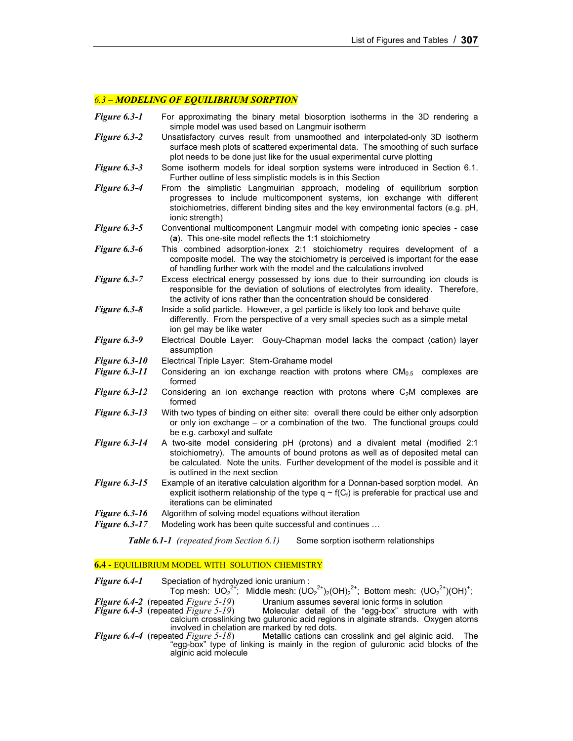#### *6.3 – MODELING OF EQUILIBRIUM SORPTION*

| Figure 6.3-1         | For approximating the binary metal biosorption isotherms in the 3D rendering a<br>simple model was used based on Langmuir isotherm                                                                                                                                                      |  |  |  |  |  |
|----------------------|-----------------------------------------------------------------------------------------------------------------------------------------------------------------------------------------------------------------------------------------------------------------------------------------|--|--|--|--|--|
| Figure 6.3-2         | Unsatisfactory curves result from unsmoothed and interpolated-only 3D isotherm<br>surface mesh plots of scattered experimental data. The smoothing of such surface<br>plot needs to be done just like for the usual experimental curve plotting                                         |  |  |  |  |  |
| Figure 6.3-3         | Some isotherm models for ideal sorption systems were introduced in Section 6.1.<br>Further outline of less simplistic models is in this Section                                                                                                                                         |  |  |  |  |  |
| Figure 6.3-4         | From the simplistic Langmuirian approach, modeling of equilibrium sorption<br>progresses to include multicomponent systems, ion exchange with different<br>stoichiometries, different binding sites and the key environmental factors (e.g. pH,<br>ionic strength)                      |  |  |  |  |  |
| Figure 6.3-5         | Conventional multicomponent Langmuir model with competing ionic species - case<br>(a). This one-site model reflects the 1:1 stoichiometry                                                                                                                                               |  |  |  |  |  |
| Figure 6.3-6         | This combined adsorption-ionex 2:1 stoichiometry requires development of a<br>composite model. The way the stoichiometry is perceived is important for the ease<br>of handling further work with the model and the calculations involved                                                |  |  |  |  |  |
| Figure 6.3-7         | Excess electrical energy possessed by ions due to their surrounding ion clouds is<br>responsible for the deviation of solutions of electrolytes from ideality. Therefore,<br>the activity of ions rather than the concentration should be considered                                    |  |  |  |  |  |
| Figure 6.3-8         | Inside a solid particle. However, a gel particle is likely too look and behave quite<br>differently. From the perspective of a very small species such as a simple metal<br>ion gel may be like water                                                                                   |  |  |  |  |  |
| Figure 6.3-9         | Electrical Double Layer: Gouy-Chapman model lacks the compact (cation) layer<br>assumption                                                                                                                                                                                              |  |  |  |  |  |
| <b>Figure 6.3-10</b> | Electrical Triple Layer: Stern-Grahame model                                                                                                                                                                                                                                            |  |  |  |  |  |
| <b>Figure 6.3-11</b> | Considering an ion exchange reaction with protons where $CM_{0.5}$ complexes are<br>formed                                                                                                                                                                                              |  |  |  |  |  |
| <b>Figure 6.3-12</b> | Considering an ion exchange reaction with protons where $C_2M$ complexes are<br>formed                                                                                                                                                                                                  |  |  |  |  |  |
| <b>Figure 6.3-13</b> | With two types of binding on either site: overall there could be either only adsorption<br>or only ion exchange - or a combination of the two. The functional groups could<br>be e.g. carboxyl and sulfate                                                                              |  |  |  |  |  |
| <b>Figure 6.3-14</b> | A two-site model considering pH (protons) and a divalent metal (modified 2:1<br>stoichiometry). The amounts of bound protons as well as of deposited metal can<br>be calculated. Note the units. Further development of the model is possible and it<br>is outlined in the next section |  |  |  |  |  |
| <b>Figure 6.3-15</b> | Example of an iterative calculation algorithm for a Donnan-based sorption model. An<br>explicit isotherm relationship of the type $q \sim f(C_f)$ is preferable for practical use and<br>iterations can be eliminated                                                                   |  |  |  |  |  |
| <b>Figure 6.3-16</b> | Algorithm of solving model equations without iteration                                                                                                                                                                                                                                  |  |  |  |  |  |
| <b>Figure 6.3-17</b> | Modeling work has been quite successful and continues                                                                                                                                                                                                                                   |  |  |  |  |  |
|                      |                                                                                                                                                                                                                                                                                         |  |  |  |  |  |

**Table 6.1-1** (repeated from Section 6.1) Some sorption isotherm relationships

# **6.4 -** EQUILIBRIUM MODEL WITH SOLUTION CHEMISTRY

alginic acid molecule

| Figure 6.4-1 | Speciation of hydrolyzed ionic uranium :   |                                                                                                          |
|--------------|--------------------------------------------|----------------------------------------------------------------------------------------------------------|
|              |                                            | Top mesh: $UO_2^{2^+}$ ; Middle mesh: $(UO_2^{2^+})_2(OH)_2^{2^+}$ ; Bottom mesh: $(UO_2^{2^+})(OH)^+$ ; |
|              | <b>Figure 6.4-2</b> (repeated Figure 5-19) | Uranium assumes several ionic forms in solution                                                          |
|              | <b>Figure 6.4-3</b> (repeated Figure 5-19) | Molecular detail of the "egg-box" structure with with                                                    |
|              |                                            | calcium crosslinking two guluronic acid regions in alginate strands. Oxygen atoms                        |

*Figure 6.4-4* (repeated *Figure 5-18*) Metallic cations can crosslink and gel alginic acid. The

"egg-box" type of linking is mainly in the region of guluronic acid blocks of the

involved in chelation are marked by red dots.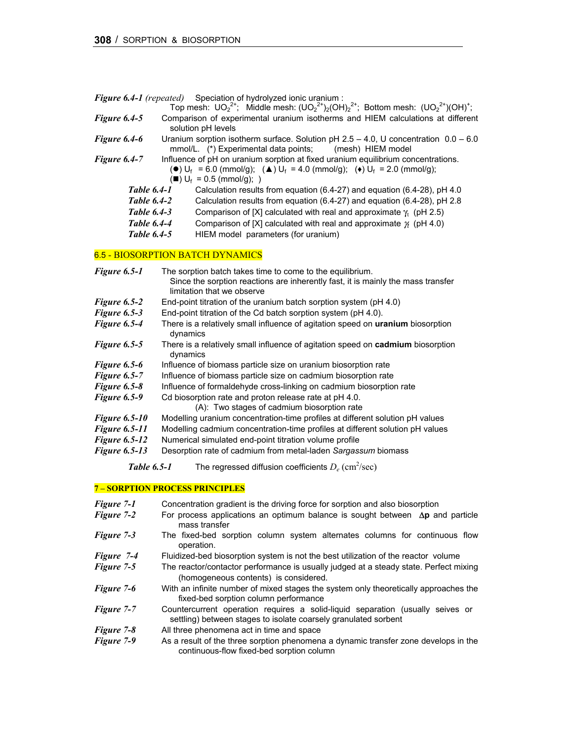| <b>Figure 6.4-1</b> (repeated) | Speciation of hydrolyzed ionic uranium : |  |
|--------------------------------|------------------------------------------|--|
|                                |                                          |  |

|                    | Top mesh: $UO_2^{2+}$ ; Middle mesh: $(UO_2^{2+})_2(OH)_2^{2+}$ ; Bottom mesh: $(UO_2^{2+})(OH)^+$ ;                                                                                                                                                                           |
|--------------------|--------------------------------------------------------------------------------------------------------------------------------------------------------------------------------------------------------------------------------------------------------------------------------|
| Figure 6.4-5       | Comparison of experimental uranium isotherms and HIEM calculations at different<br>solution pH levels                                                                                                                                                                          |
| Figure 6.4-6       | Uranium sorption isotherm surface. Solution pH $2.5 - 4.0$ , U concentration $0.0 - 6.0$<br>mmol/L. (*) Experimental data points; (mesh) HIEM model                                                                                                                            |
| Figure 6.4-7       | Influence of pH on uranium sorption at fixed uranium equilibrium concentrations.<br>( $\bullet$ ) U <sub>f</sub> = 6.0 (mmol/g); ( $\triangle$ ) U <sub>f</sub> = 4.0 (mmol/g); ( $\bullet$ ) U <sub>f</sub> = 2.0 (mmol/g);<br>$(\blacksquare) \bigcup_{f} = 0.5$ (mmol/g); ) |
| <b>Table 6.4-1</b> | Calculation results from equation (6.4-27) and equation (6.4-28), pH 4.0                                                                                                                                                                                                       |
| <b>Table 6.4-2</b> | Calculation results from equation (6.4-27) and equation (6.4-28), pH 2.8                                                                                                                                                                                                       |
| <b>Table 6.4-3</b> | Comparison of [X] calculated with real and approximate $\gamma_i$ (pH 2.5)                                                                                                                                                                                                     |
| <b>Table 6.4-4</b> | Comparison of [X] calculated with real and approximate $\chi$ (pH 4.0)                                                                                                                                                                                                         |
| <b>Table 6.4-5</b> | HIEM model parameters (for uranium)                                                                                                                                                                                                                                            |

# 6.5 - BIOSORPTION BATCH DYNAMICS

| Figure 6.5-1         | The sorption batch takes time to come to the equilibrium.                                                      |
|----------------------|----------------------------------------------------------------------------------------------------------------|
|                      | Since the sorption reactions are inherently fast, it is mainly the mass transfer<br>limitation that we observe |
| Figure 6.5-2         | End-point titration of the uranium batch sorption system (pH 4.0)                                              |
| Figure 6.5-3         | End-point titration of the Cd batch sorption system (pH 4.0).                                                  |
| Figure 6.5-4         | There is a relatively small influence of agitation speed on uranium biosorption<br>dynamics                    |
| Figure 6.5-5         | There is a relatively small influence of agitation speed on cadmium biosorption<br>dynamics                    |
| Figure 6.5-6         | Influence of biomass particle size on uranium biosorption rate                                                 |
| Figure 6.5-7         | Influence of biomass particle size on cadmium biosorption rate                                                 |
| Figure 6.5-8         | Influence of formaldehyde cross-linking on cadmium biosorption rate                                            |
| Figure 6.5-9         | Cd biosorption rate and proton release rate at pH 4.0.                                                         |
|                      | (A): Two stages of cadmium biosorption rate                                                                    |
| <b>Figure 6.5-10</b> | Modelling uranium concentration-time profiles at different solution pH values                                  |
| <b>Figure 6.5-11</b> | Modelling cadmium concentration-time profiles at different solution pH values                                  |
| <b>Figure 6.5-12</b> | Numerical simulated end-point titration volume profile                                                         |
| <b>Figure 6.5-13</b> | Desorption rate of cadmium from metal-laden Sargassum biomass                                                  |
| <b>Table 6.5-1</b>   | The regressed diffusion coefficients $D_e$ (cm <sup>2</sup> /sec)                                              |

# **7 – SORPTION PROCESS PRINCIPLES**

| Figure 7-1        | Concentration gradient is the driving force for sorption and also biosorption                                                                     |
|-------------------|---------------------------------------------------------------------------------------------------------------------------------------------------|
| Figure 7-2        | For process applications an optimum balance is sought between $\Delta p$ and particle<br>mass transfer                                            |
| Figure 7-3        | The fixed-bed sorption column system alternates columns for continuous flow<br>operation.                                                         |
| Figure 7-4        | Fluidized-bed biosorption system is not the best utilization of the reactor volume                                                                |
| Figure 7-5        | The reactor/contactor performance is usually judged at a steady state. Perfect mixing<br>(homogeneous contents) is considered.                    |
| Figure 7-6        | With an infinite number of mixed stages the system only theoretically approaches the<br>fixed-bed sorption column performance                     |
| <b>Figure 7-7</b> | Countercurrent operation requires a solid-liquid separation (usually seives or<br>settling) between stages to isolate coarsely granulated sorbent |
| <b>Figure</b> 7-8 | All three phenomena act in time and space                                                                                                         |
| Figure 7-9        | As a result of the three sorption phenomena a dynamic transfer zone develops in the<br>continuous-flow fixed-bed sorption column                  |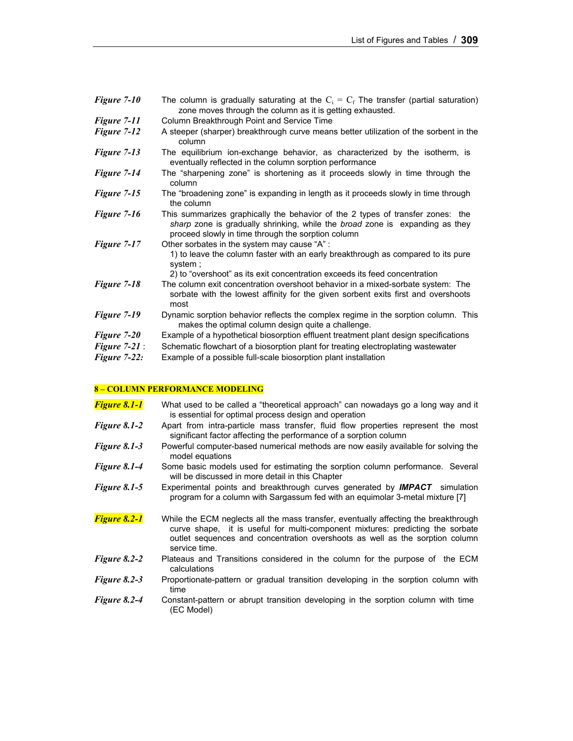| Figure 7-10     | The column is gradually saturating at the $C_i = C_f$ The transfer (partial saturation)<br>zone moves through the column as it is getting exhausted.                                                                      |
|-----------------|---------------------------------------------------------------------------------------------------------------------------------------------------------------------------------------------------------------------------|
| Figure 7-11     | Column Breakthrough Point and Service Time                                                                                                                                                                                |
| Figure 7-12     | A steeper (sharper) breakthrough curve means better utilization of the sorbent in the<br>column                                                                                                                           |
| Figure 7-13     | The equilibrium ion-exchange behavior, as characterized by the isotherm, is<br>eventually reflected in the column sorption performance                                                                                    |
| Figure 7-14     | The "sharpening zone" is shortening as it proceeds slowly in time through the<br>column                                                                                                                                   |
| Figure 7-15     | The "broadening zone" is expanding in length as it proceeds slowly in time through<br>the column                                                                                                                          |
| Figure 7-16     | This summarizes graphically the behavior of the 2 types of transfer zones: the<br>sharp zone is gradually shrinking, while the broad zone is expanding as they<br>proceed slowly in time through the sorption column      |
| Figure 7-17     | Other sorbates in the system may cause "A" :<br>1) to leave the column faster with an early breakthrough as compared to its pure<br>system;<br>2) to "overshoot" as its exit concentration exceeds its feed concentration |
| Figure 7-18     | The column exit concentration overshoot behavior in a mixed-sorbate system: The<br>sorbate with the lowest affinity for the given sorbent exits first and overshoots<br>most                                              |
| Figure 7-19     | Dynamic sorption behavior reflects the complex regime in the sorption column. This<br>makes the optimal column design quite a challenge.                                                                                  |
| Figure 7-20     | Example of a hypothetical biosorption effluent treatment plant design specifications                                                                                                                                      |
| Figure $7-21$ : | Schematic flowchart of a biosorption plant for treating electroplating wastewater                                                                                                                                         |
| Figure $7-22$ : | Example of a possible full-scale biosorption plant installation                                                                                                                                                           |

# **8 – COLUMN PERFORMANCE MODELING**

| <b>Figure 8.1-1</b> | What used to be called a "theoretical approach" can nowadays go a long way and it<br>is essential for optimal process design and operation                                                                                                                             |
|---------------------|------------------------------------------------------------------------------------------------------------------------------------------------------------------------------------------------------------------------------------------------------------------------|
| Figure 8.1-2        | Apart from intra-particle mass transfer, fluid flow properties represent the most<br>significant factor affecting the performance of a sorption column                                                                                                                 |
| <b>Figure 8.1-3</b> | Powerful computer-based numerical methods are now easily available for solving the<br>model equations                                                                                                                                                                  |
| Figure 8.1-4        | Some basic models used for estimating the sorption column performance. Several<br>will be discussed in more detail in this Chapter                                                                                                                                     |
| <b>Figure 8.1-5</b> | Experimental points and breakthrough curves generated by <b>IMPACT</b> simulation<br>program for a column with Sargassum fed with an equimolar 3-metal mixture [7]                                                                                                     |
| <b>Figure 8.2-1</b> | While the ECM neglects all the mass transfer, eventually affecting the breakthrough<br>curve shape, it is useful for multi-component mixtures: predicting the sorbate<br>outlet sequences and concentration overshoots as well as the sorption column<br>service time. |
| Figure 8.2-2        | Plateaus and Transitions considered in the column for the purpose of the ECM<br>calculations                                                                                                                                                                           |
| Figure 8.2-3        | Proportionate-pattern or gradual transition developing in the sorption column with<br>time                                                                                                                                                                             |
| Figure 8.2-4        | Constant-pattern or abrupt transition developing in the sorption column with time<br>(EC Model)                                                                                                                                                                        |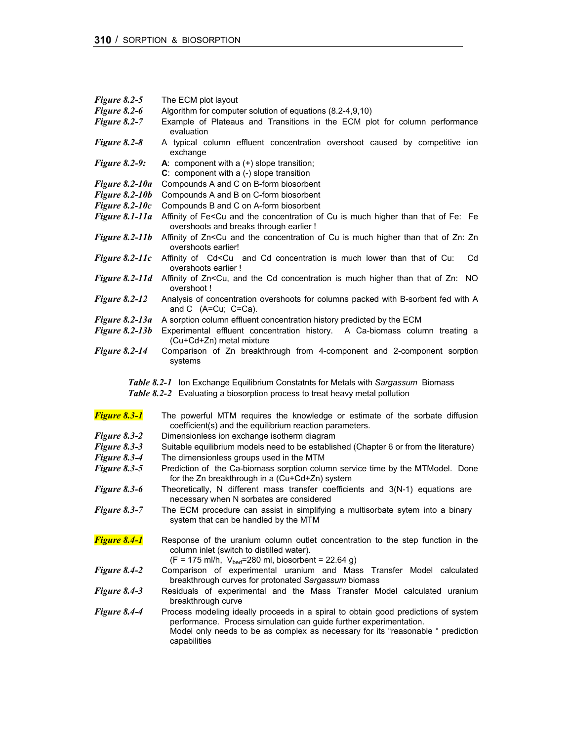| Figure $8.2-5$                                                                                                                                                   | The ECM plot layout                                                                                                                                                                                             |
|------------------------------------------------------------------------------------------------------------------------------------------------------------------|-----------------------------------------------------------------------------------------------------------------------------------------------------------------------------------------------------------------|
| Figure 8.2-6<br>Figure 8.2-7                                                                                                                                     | Algorithm for computer solution of equations (8.2-4,9,10)<br>Example of Plateaus and Transitions in the ECM plot for column performance<br>evaluation                                                           |
| Figure 8.2-8                                                                                                                                                     | A typical column effluent concentration overshoot caused by competitive ion<br>exchange                                                                                                                         |
| <b>Figure 8.2-9:</b>                                                                                                                                             | A: component with $a (+)$ slope transition;<br>$C:$ component with a $(-)$ slope transition                                                                                                                     |
| Figure 8.2-10a                                                                                                                                                   | Compounds A and C on B-form biosorbent                                                                                                                                                                          |
| <b>Figure 8.2-10b</b>                                                                                                                                            | Compounds A and B on C-form biosorbent                                                                                                                                                                          |
| Figure $8.2$ -10 $c$                                                                                                                                             | Compounds B and C on A-form biosorbent                                                                                                                                                                          |
| Figure 8.1-11a                                                                                                                                                   | Affinity of Fe <cu and="" concentration="" cu="" fe:="" fe<br="" higher="" is="" much="" of="" than="" that="" the="">overshoots and breaks through earlier !</cu>                                              |
| <b>Figure 8.2-11b</b>                                                                                                                                            | Affinity of Zn <cu and="" concentration="" cu="" higher="" is="" much="" of="" than="" that="" the="" zn:="" zn<br="">overshoots earlier!</cu>                                                                  |
| Figure $8.2$ -11c                                                                                                                                                | Affinity of Cd <cu and="" cd="" concentration="" cu:<br="" is="" lower="" much="" of="" than="" that="">Cd<br/>overshoots earlier !</cu>                                                                        |
| Figure 8.2-11d                                                                                                                                                   | Affinity of Zn <cu, and="" cd="" concentration="" higher="" is="" much="" no<br="" of="" than="" that="" the="" zn:="">overshoot!</cu,>                                                                         |
| <b>Figure 8.2-12</b>                                                                                                                                             | Analysis of concentration overshoots for columns packed with B-sorbent fed with A<br>and C (A=Cu; C=Ca).                                                                                                        |
| <b>Figure 8.2-13a</b>                                                                                                                                            | A sorption column effluent concentration history predicted by the ECM                                                                                                                                           |
| <b>Figure 8.2-13b</b>                                                                                                                                            | Experimental effluent concentration history. A Ca-biomass column treating a<br>(Cu+Cd+Zn) metal mixture                                                                                                         |
| <b>Figure 8.2-14</b>                                                                                                                                             | Comparison of Zn breakthrough from 4-component and 2-component sorption<br>systems                                                                                                                              |
| Table 8.2-1 Ion Exchange Equilibrium Constatnts for Metals with Sargassum Biomass<br>Table 8.2-2 Evaluating a biosorption process to treat heavy metal pollution |                                                                                                                                                                                                                 |
|                                                                                                                                                                  |                                                                                                                                                                                                                 |
| <b>Figure 8.3-1</b>                                                                                                                                              | The powerful MTM requires the knowledge or estimate of the sorbate diffusion<br>coefficient(s) and the equilibrium reaction parameters.                                                                         |
| Figure 8.3-2                                                                                                                                                     | Dimensionless ion exchange isotherm diagram                                                                                                                                                                     |
| Figure 8.3-3                                                                                                                                                     | Suitable equilibrium models need to be established (Chapter 6 or from the literature)                                                                                                                           |
| Figure 8.3-4                                                                                                                                                     | The dimensionless groups used in the MTM                                                                                                                                                                        |
| Figure 8.3-5                                                                                                                                                     | Prediction of the Ca-biomass sorption column service time by the MTModel. Done<br>for the Zn breakthrough in a (Cu+Cd+Zn) system                                                                                |
| Figure 8.3-6                                                                                                                                                     | Theoretically, N different mass transfer coefficients and 3(N-1) equations are<br>necessary when N sorbates are considered                                                                                      |
| <b>Figure 8.3-7</b>                                                                                                                                              | The ECM procedure can assist in simplifying a multisorbate sytem into a binary<br>system that can be handled by the MTM                                                                                         |
| <b>Figure 8.4-1</b>                                                                                                                                              | Response of the uranium column outlet concentration to the step function in the<br>column inlet (switch to distilled water).<br>$(F = 175 \text{ ml/h}, V_{bed} = 280 \text{ ml}, \text{bisor}$ bent = 22.64 g) |
| Figure 8.4-2                                                                                                                                                     | Comparison of experimental uranium and Mass Transfer Model calculated<br>breakthrough curves for protonated Sargassum biomass                                                                                   |
| Figure 8.4-3<br>Figure 8.4-4                                                                                                                                     | Residuals of experimental and the Mass Transfer Model calculated uranium<br>breakthrough curve<br>Process modeling ideally proceeds in a spiral to obtain good predictions of system                            |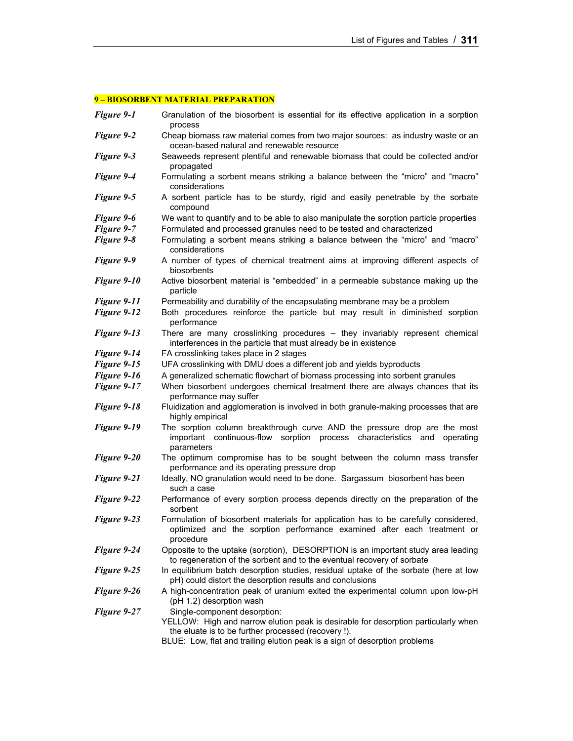# **9 – BIOSORBENT MATERIAL PREPARATION**

| Figure 9-1  | Granulation of the biosorbent is essential for its effective application in a sorption<br>process                                                                                                                                                       |
|-------------|---------------------------------------------------------------------------------------------------------------------------------------------------------------------------------------------------------------------------------------------------------|
| Figure 9-2  | Cheap biomass raw material comes from two major sources: as industry waste or an<br>ocean-based natural and renewable resource                                                                                                                          |
| Figure 9-3  | Seaweeds represent plentiful and renewable biomass that could be collected and/or<br>propagated                                                                                                                                                         |
| Figure 9-4  | Formulating a sorbent means striking a balance between the "micro" and "macro"<br>considerations                                                                                                                                                        |
| Figure 9-5  | A sorbent particle has to be sturdy, rigid and easily penetrable by the sorbate<br>compound                                                                                                                                                             |
| Figure 9-6  | We want to quantify and to be able to also manipulate the sorption particle properties                                                                                                                                                                  |
| Figure 9-7  | Formulated and processed granules need to be tested and characterized                                                                                                                                                                                   |
| Figure 9-8  | Formulating a sorbent means striking a balance between the "micro" and "macro"<br>considerations                                                                                                                                                        |
| Figure 9-9  | A number of types of chemical treatment aims at improving different aspects of<br>biosorbents                                                                                                                                                           |
| Figure 9-10 | Active biosorbent material is "embedded" in a permeable substance making up the<br>particle                                                                                                                                                             |
| Figure 9-11 | Permeability and durability of the encapsulating membrane may be a problem                                                                                                                                                                              |
| Figure 9-12 | Both procedures reinforce the particle but may result in diminished sorption<br>performance                                                                                                                                                             |
| Figure 9-13 | There are many crosslinking procedures - they invariably represent chemical<br>interferences in the particle that must already be in existence                                                                                                          |
| Figure 9-14 | FA crosslinking takes place in 2 stages                                                                                                                                                                                                                 |
| Figure 9-15 | UFA crosslinking with DMU does a different job and yields byproducts                                                                                                                                                                                    |
| Figure 9-16 | A generalized schematic flowchart of biomass processing into sorbent granules                                                                                                                                                                           |
| Figure 9-17 | When biosorbent undergoes chemical treatment there are always chances that its<br>performance may suffer                                                                                                                                                |
| Figure 9-18 | Fluidization and agglomeration is involved in both granule-making processes that are<br>highly empirical                                                                                                                                                |
| Figure 9-19 | The sorption column breakthrough curve AND the pressure drop are the most<br>important continuous-flow sorption process characteristics and<br>operating<br>parameters                                                                                  |
| Figure 9-20 | The optimum compromise has to be sought between the column mass transfer<br>performance and its operating pressure drop                                                                                                                                 |
| Figure 9-21 | Ideally, NO granulation would need to be done. Sargassum biosorbent has been<br>such a case                                                                                                                                                             |
| Figure 9-22 | Performance of every sorption process depends directly on the preparation of the<br>sorbent                                                                                                                                                             |
| Figure 9-23 | Formulation of biosorbent materials for application has to be carefully considered,<br>optimized and the sorption performance examined after each treatment or<br>procedure                                                                             |
| Figure 9-24 | Opposite to the uptake (sorption), DESORPTION is an important study area leading<br>to regeneration of the sorbent and to the eventual recovery of sorbate                                                                                              |
| Figure 9-25 | In equilibrium batch desorption studies, residual uptake of the sorbate (here at low<br>pH) could distort the desorption results and conclusions                                                                                                        |
| Figure 9-26 | A high-concentration peak of uranium exited the experimental column upon low-pH<br>(pH 1.2) desorption wash                                                                                                                                             |
| Figure 9-27 | Single-component desorption:<br>YELLOW: High and narrow elution peak is desirable for desorption particularly when<br>the eluate is to be further processed (recovery !).<br>BLUE: Low, flat and trailing elution peak is a sign of desorption problems |